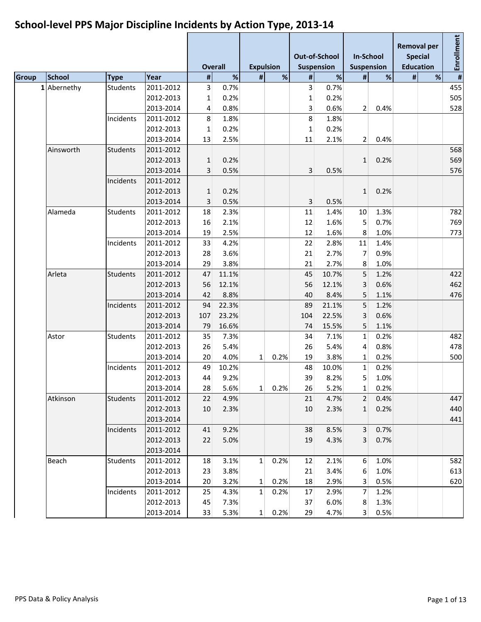|              |               |                 |           |              | <b>Overall</b> | <b>Expulsion</b> |             |                         | Out-of-School<br><b>Suspension</b> | <b>In-School</b><br><b>Suspension</b> |      |   | <b>Removal per</b><br><b>Special</b><br><b>Education</b> | Enrollment |
|--------------|---------------|-----------------|-----------|--------------|----------------|------------------|-------------|-------------------------|------------------------------------|---------------------------------------|------|---|----------------------------------------------------------|------------|
| <b>Group</b> | <b>School</b> | <b>Type</b>     | Year      | #            | %              | #                | %           | $\sharp$                | $\%$                               | #                                     | %    | # | %                                                        | #          |
| 1            | Abernethy     | <b>Students</b> | 2011-2012 | 3            | 0.7%           |                  |             | $\overline{\mathbf{3}}$ | 0.7%                               |                                       |      |   |                                                          | 455        |
|              |               |                 | 2012-2013 | 1            | 0.2%           |                  |             | 1                       | 0.2%                               |                                       |      |   |                                                          | 505        |
|              |               |                 | 2013-2014 | 4            | 0.8%           |                  |             | 3                       | 0.6%                               | 2                                     | 0.4% |   |                                                          | 528        |
|              |               | Incidents       | 2011-2012 | 8            | 1.8%           |                  |             | 8                       | 1.8%                               |                                       |      |   |                                                          |            |
|              |               |                 | 2012-2013 | 1            | 0.2%           |                  |             | $\mathbf{1}$            | 0.2%                               |                                       |      |   |                                                          |            |
|              |               |                 | 2013-2014 | 13           | 2.5%           |                  |             | 11                      | 2.1%                               | 2                                     | 0.4% |   |                                                          |            |
|              | Ainsworth     | <b>Students</b> | 2011-2012 |              |                |                  |             |                         |                                    |                                       |      |   |                                                          | 568        |
|              |               |                 | 2012-2013 | $\mathbf{1}$ | 0.2%           |                  |             |                         |                                    | $\mathbf{1}$                          | 0.2% |   |                                                          | 569        |
|              |               |                 | 2013-2014 | 3            | 0.5%           |                  |             | 3                       | 0.5%                               |                                       |      |   |                                                          | 576        |
|              |               | Incidents       | 2011-2012 |              |                |                  |             |                         |                                    |                                       |      |   |                                                          |            |
|              |               |                 | 2012-2013 | 1            | 0.2%           |                  |             |                         |                                    | $\mathbf{1}$                          | 0.2% |   |                                                          |            |
|              |               |                 | 2013-2014 | 3            | 0.5%           |                  |             | 3                       | 0.5%                               |                                       |      |   |                                                          |            |
|              | Alameda       | <b>Students</b> | 2011-2012 | 18           | 2.3%           |                  |             | 11                      | 1.4%                               | 10                                    | 1.3% |   |                                                          | 782        |
|              |               |                 | 2012-2013 | 16           | 2.1%           |                  |             | 12                      | 1.6%                               | 5                                     | 0.7% |   |                                                          | 769        |
|              |               |                 | 2013-2014 | 19           | 2.5%           |                  |             | 12                      | 1.6%                               | 8                                     | 1.0% |   |                                                          | 773        |
|              |               | Incidents       | 2011-2012 | 33           | 4.2%           |                  |             | 22                      | 2.8%                               | 11                                    | 1.4% |   |                                                          |            |
|              |               |                 | 2012-2013 | 28           | 3.6%           |                  |             | 21                      | 2.7%                               | 7                                     | 0.9% |   |                                                          |            |
|              |               |                 | 2013-2014 | 29           | 3.8%           |                  |             | 21                      | 2.7%                               | 8                                     | 1.0% |   |                                                          |            |
|              | Arleta        | <b>Students</b> | 2011-2012 | 47           | 11.1%          |                  |             | 45                      | 10.7%                              | 5                                     | 1.2% |   |                                                          | 422        |
|              |               |                 | 2012-2013 | 56           | 12.1%          |                  |             | 56                      | 12.1%                              | 3                                     | 0.6% |   |                                                          | 462        |
|              |               |                 | 2013-2014 | 42           | 8.8%           |                  |             | 40                      | 8.4%                               | 5                                     | 1.1% |   |                                                          | 476        |
|              |               | Incidents       | 2011-2012 | 94           | 22.3%          |                  |             | 89                      | 21.1%                              | 5                                     | 1.2% |   |                                                          |            |
|              |               |                 | 2012-2013 | 107          | 23.2%          |                  |             | 104                     | 22.5%                              | 3                                     | 0.6% |   |                                                          |            |
|              |               |                 | 2013-2014 | 79           | 16.6%          |                  |             | 74                      | 15.5%                              | 5                                     | 1.1% |   |                                                          |            |
|              | Astor         | <b>Students</b> | 2011-2012 | 35           | 7.3%           |                  |             | 34                      | 7.1%                               | $\mathbf{1}$                          | 0.2% |   |                                                          | 482        |
|              |               |                 | 2012-2013 | 26           | 5.4%           |                  |             | 26                      | 5.4%                               | 4                                     | 0.8% |   |                                                          | 478        |
|              |               |                 | 2013-2014 | 20           | 4.0%           | $\mathbf{1}$     | 0.2%        | 19                      | 3.8%                               | 1                                     | 0.2% |   |                                                          | 500        |
|              |               | Incidents       | 2011-2012 | 49           | 10.2%          |                  |             | 48                      | 10.0%                              | 1                                     | 0.2% |   |                                                          |            |
|              |               |                 | 2012-2013 | 44           | 9.2%           |                  |             | 39                      | 8.2%                               | 5                                     | 1.0% |   |                                                          |            |
|              |               |                 | 2013-2014 | 28           | 5.6%           |                  | $1 \ 0.2\%$ | 26                      | 5.2%                               | 1                                     | 0.2% |   |                                                          |            |
|              | Atkinson      | <b>Students</b> | 2011-2012 | 22           | 4.9%           |                  |             | 21                      | 4.7%                               | $2^{\vert}$                           | 0.4% |   |                                                          | 447        |
|              |               |                 | 2012-2013 | 10           | 2.3%           |                  |             | 10                      | 2.3%                               | $\mathbf{1}$                          | 0.2% |   |                                                          | 440        |
|              |               |                 | 2013-2014 |              |                |                  |             |                         |                                    |                                       |      |   |                                                          | 441        |
|              |               | Incidents       | 2011-2012 | 41           | 9.2%           |                  |             | 38                      | 8.5%                               | 3 <sup>1</sup>                        | 0.7% |   |                                                          |            |
|              |               |                 | 2012-2013 | 22           | 5.0%           |                  |             | 19                      | 4.3%                               | $\overline{3}$                        | 0.7% |   |                                                          |            |
|              |               |                 | 2013-2014 |              |                |                  |             |                         |                                    |                                       |      |   |                                                          |            |
|              | Beach         | <b>Students</b> | 2011-2012 | 18           | 3.1%           | 1 <sup>1</sup>   | 0.2%        | 12                      | 2.1%                               | 6                                     | 1.0% |   |                                                          | 582        |
|              |               |                 | 2012-2013 | 23           | 3.8%           |                  |             | 21                      | 3.4%                               | 6                                     | 1.0% |   |                                                          | 613        |
|              |               |                 | 2013-2014 | 20           | 3.2%           | $1\vert$         | 0.2%        | 18                      | 2.9%                               | 3                                     | 0.5% |   |                                                          | 620        |
|              |               | Incidents       | 2011-2012 | 25           | 4.3%           | 1                | 0.2%        | 17                      | 2.9%                               | $\overline{7}$                        | 1.2% |   |                                                          |            |
|              |               |                 | 2012-2013 | 45           | 7.3%           |                  |             | 37                      | 6.0%                               | 8                                     | 1.3% |   |                                                          |            |
|              |               |                 | 2013-2014 | 33           | 5.3%           | $1\vert$         | 0.2%        | 29                      | 4.7%                               | $\vert$ 3                             | 0.5% |   |                                                          |            |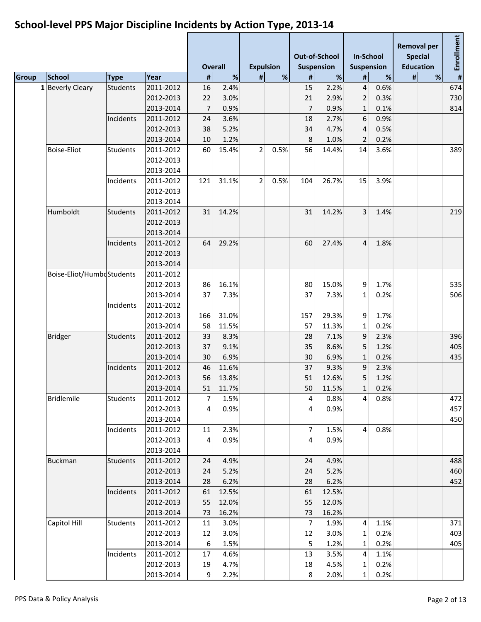|                            |           |                 |           |                | <b>Overall</b> | <b>Expulsion</b> |      |                | <b>Out-of-School</b><br><b>Suspension</b> | <b>In-School</b><br>Suspension |      |   | <b>Removal per</b><br><b>Special</b><br><b>Education</b> | Enrollment              |
|----------------------------|-----------|-----------------|-----------|----------------|----------------|------------------|------|----------------|-------------------------------------------|--------------------------------|------|---|----------------------------------------------------------|-------------------------|
| <b>School</b>              |           | <b>Type</b>     | Year      | $\pmb{\sharp}$ | %              | #                | %    | $\#$           | %                                         | $\pmb{\sharp}$                 | $\%$ | # | %                                                        | $\overline{\mathbf{H}}$ |
| <b>Beverly Cleary</b><br>1 |           | <b>Students</b> | 2011-2012 | 16             | 2.4%           |                  |      | 15             | 2.2%                                      | $\overline{4}$                 | 0.6% |   |                                                          | 674                     |
|                            |           |                 | 2012-2013 | 22             | 3.0%           |                  |      | 21             | 2.9%                                      | $\overline{2}$                 | 0.3% |   |                                                          | 730                     |
|                            |           |                 | 2013-2014 | $\overline{7}$ | 0.9%           |                  |      | 7              | 0.9%                                      | $\mathbf{1}$                   | 0.1% |   |                                                          | 814                     |
|                            |           | Incidents       | 2011-2012 | 24             | 3.6%           |                  |      | 18             | 2.7%                                      | 6                              | 0.9% |   |                                                          |                         |
|                            |           |                 | 2012-2013 | 38             | 5.2%           |                  |      | 34             | 4.7%                                      | 4                              | 0.5% |   |                                                          |                         |
|                            |           |                 | 2013-2014 | 10             | 1.2%           |                  |      | 8              | 1.0%                                      | 2                              | 0.2% |   |                                                          |                         |
| <b>Boise-Eliot</b>         |           | <b>Students</b> | 2011-2012 | 60             | 15.4%          | $\overline{2}$   | 0.5% | 56             | 14.4%                                     | 14                             | 3.6% |   |                                                          | 389                     |
|                            |           |                 | 2012-2013 |                |                |                  |      |                |                                           |                                |      |   |                                                          |                         |
|                            |           |                 | 2013-2014 |                |                |                  |      |                |                                           |                                |      |   |                                                          |                         |
|                            |           | Incidents       | 2011-2012 | 121            | 31.1%          | 2                | 0.5% | 104            | 26.7%                                     | 15                             | 3.9% |   |                                                          |                         |
|                            |           |                 | 2012-2013 |                |                |                  |      |                |                                           |                                |      |   |                                                          |                         |
|                            |           |                 | 2013-2014 |                |                |                  |      |                |                                           |                                |      |   |                                                          |                         |
| Humboldt                   |           | <b>Students</b> | 2011-2012 | 31             | 14.2%          |                  |      | 31             | 14.2%                                     | $\overline{3}$                 | 1.4% |   |                                                          | 219                     |
|                            |           |                 | 2012-2013 |                |                |                  |      |                |                                           |                                |      |   |                                                          |                         |
|                            |           |                 | 2013-2014 |                |                |                  |      |                |                                           |                                |      |   |                                                          |                         |
|                            |           | Incidents       | 2011-2012 | 64             | 29.2%          |                  |      | 60             | 27.4%                                     | $\overline{4}$                 | 1.8% |   |                                                          |                         |
|                            |           |                 | 2012-2013 |                |                |                  |      |                |                                           |                                |      |   |                                                          |                         |
|                            |           |                 | 2013-2014 |                |                |                  |      |                |                                           |                                |      |   |                                                          |                         |
| Boise-Eliot/HumbeStudents  |           |                 | 2011-2012 |                |                |                  |      |                |                                           |                                |      |   |                                                          |                         |
|                            |           |                 | 2012-2013 | 86             | 16.1%          |                  |      | 80             | 15.0%                                     | 9                              | 1.7% |   |                                                          | 535                     |
|                            |           | 2013-2014       | 37        | 7.3%           |                |                  | 37   | 7.3%           | $\mathbf{1}$                              | 0.2%                           |      |   | 506                                                      |                         |
|                            | Incidents | 2011-2012       |           |                |                |                  |      |                |                                           |                                |      |   |                                                          |                         |
|                            |           | 2012-2013       | 166       | 31.0%          |                |                  | 157  | 29.3%          | 9                                         | 1.7%                           |      |   |                                                          |                         |
|                            |           | 2013-2014       | 58        | 11.5%          |                |                  | 57   | 11.3%          | 1                                         | 0.2%                           |      |   |                                                          |                         |
|                            |           | <b>Students</b> | 2011-2012 | 33             | 8.3%           |                  |      | 28             | 7.1%                                      | 9                              | 2.3% |   |                                                          | 396                     |
| <b>Bridger</b>             |           | 2012-2013       | 37        | 9.1%           |                |                  | 35   | 8.6%           | 5                                         | 1.2%                           |      |   | 405                                                      |                         |
|                            |           |                 | 2013-2014 | 30             | 6.9%           |                  |      | 30             | 6.9%                                      | $\mathbf{1}$                   | 0.2% |   |                                                          | 435                     |
|                            |           | Incidents       | 2011-2012 | 46             | 11.6%          |                  |      | 37             | 9.3%                                      | 9                              | 2.3% |   |                                                          |                         |
|                            |           |                 | 2012-2013 | 56             | 13.8%          |                  |      | 51             | 12.6%                                     | 5                              | 1.2% |   |                                                          |                         |
|                            |           |                 | 2013-2014 | 51             | 11.7%          |                  |      | 50             | 11.5%                                     | 1                              | 0.2% |   |                                                          |                         |
| <b>Bridlemile</b>          |           | <b>Students</b> | 2011-2012 | $\overline{7}$ | 1.5%           |                  |      | $\overline{4}$ | 0.8%                                      | $4 \mid$                       | 0.8% |   |                                                          | 472                     |
|                            |           |                 | 2012-2013 | 4              | 0.9%           |                  |      | 4              | 0.9%                                      |                                |      |   |                                                          | 457                     |
|                            |           |                 | 2013-2014 |                |                |                  |      |                |                                           |                                |      |   |                                                          | 450                     |
|                            |           | Incidents       | 2011-2012 | 11             | 2.3%           |                  |      | 7              | 1.5%                                      | $\overline{4}$                 | 0.8% |   |                                                          |                         |
|                            |           |                 | 2012-2013 | 4              | 0.9%           |                  |      | 4              | 0.9%                                      |                                |      |   |                                                          |                         |
|                            |           |                 | 2013-2014 |                |                |                  |      |                |                                           |                                |      |   |                                                          |                         |
| <b>Buckman</b>             |           | <b>Students</b> | 2011-2012 | 24             | 4.9%           |                  |      | 24             | 4.9%                                      |                                |      |   |                                                          | 488                     |
|                            |           |                 | 2012-2013 | 24             | 5.2%           |                  |      | 24             | 5.2%                                      |                                |      |   |                                                          | 460                     |
|                            |           |                 | 2013-2014 | 28             | 6.2%           |                  |      | 28             | 6.2%                                      |                                |      |   |                                                          | 452                     |
|                            |           | Incidents       | 2011-2012 | 61             | 12.5%          |                  |      | 61             | 12.5%                                     |                                |      |   |                                                          |                         |
|                            |           |                 | 2012-2013 | 55             | 12.0%          |                  |      | 55             | 12.0%                                     |                                |      |   |                                                          |                         |
|                            |           |                 | 2013-2014 | 73             | 16.2%          |                  |      | 73             | 16.2%                                     |                                |      |   |                                                          |                         |
| Capitol Hill               |           | <b>Students</b> | 2011-2012 | 11             | 3.0%           |                  |      | $\overline{7}$ | 1.9%                                      | $\overline{4}$                 | 1.1% |   |                                                          | 371                     |
|                            |           |                 | 2012-2013 | 12             | 3.0%           |                  |      | 12             | 3.0%                                      | $\mathbf{1}$                   | 0.2% |   |                                                          | 403                     |
|                            |           |                 | 2013-2014 | 6              | 1.5%           |                  |      | 5              | 1.2%                                      | 1                              | 0.2% |   |                                                          | 405                     |
|                            |           | Incidents       | 2011-2012 | 17             | 4.6%           |                  |      | 13             | 3.5%                                      | $\overline{4}$                 | 1.1% |   |                                                          |                         |
|                            |           |                 | 2012-2013 | 19             | 4.7%           |                  |      | 18             | 4.5%                                      | $\mathbf{1}$                   | 0.2% |   |                                                          |                         |
|                            |           |                 | 2013-2014 | $9\,$          | 2.2%           |                  |      | 8              | 2.0%                                      | $\mathbf{1}$                   | 0.2% |   |                                                          |                         |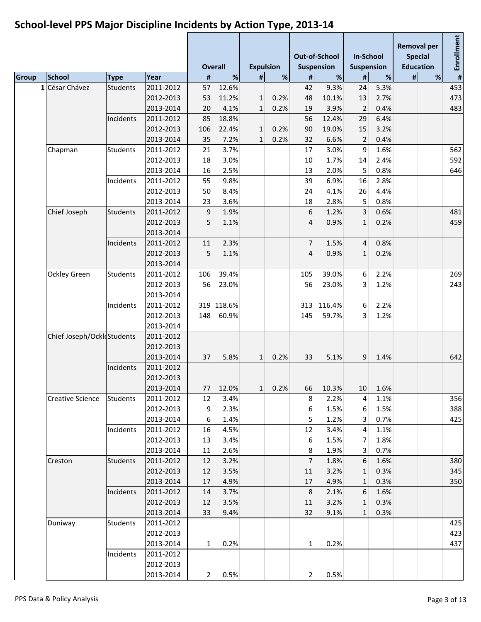|                            |                         |                 |                        |                | <b>Overall</b> | <b>Expulsion</b> |                 |                | Out-of-School<br><b>Suspension</b> | <b>In-School</b><br><b>Suspension</b> |         | <b>Removal per</b> | <b>Special</b><br><b>Education</b> | Enrollment |
|----------------------------|-------------------------|-----------------|------------------------|----------------|----------------|------------------|-----------------|----------------|------------------------------------|---------------------------------------|---------|--------------------|------------------------------------|------------|
|                            | <b>School</b>           | <b>Type</b>     | Year                   | #              | %              | #                | %               | $\#$           | $\%$                               | #                                     | %       | #                  | %                                  | #          |
| 1                          | César Chávez            | <b>Students</b> | 2011-2012              | 57             | 12.6%          |                  |                 | 42             | 9.3%                               | 24                                    | 5.3%    |                    |                                    | 453        |
|                            |                         |                 | 2012-2013              | 53             | 11.2%          | $\mathbf{1}$     | 0.2%            | 48             | 10.1%                              | 13                                    | 2.7%    |                    |                                    | 473        |
|                            |                         |                 | 2013-2014              | 20             | 4.1%           | $\mathbf{1}$     | 0.2%            | 19             | 3.9%                               | $\overline{2}$                        | 0.4%    |                    |                                    | 483        |
|                            |                         | Incidents       | 2011-2012              | 85             | 18.8%          |                  |                 | 56             | 12.4%                              | 29                                    | 6.4%    |                    |                                    |            |
|                            |                         |                 | 2012-2013              | 106            | 22.4%          | $\mathbf{1}$     | 0.2%            | 90             | 19.0%                              | 15                                    | 3.2%    |                    |                                    |            |
|                            |                         |                 | 2013-2014              | 35             | 7.2%           | $\mathbf{1}$     | 0.2%            | 32             | 6.6%                               | $\overline{2}$                        | 0.4%    |                    |                                    |            |
|                            | Chapman                 | <b>Students</b> | 2011-2012              | 21             | 3.7%           |                  |                 | 17             | 3.0%                               | 9                                     | 1.6%    |                    |                                    | 562        |
|                            |                         |                 | 2012-2013              | 18             | 3.0%           |                  |                 | 10             | 1.7%                               | 14                                    | 2.4%    |                    |                                    | 592        |
|                            |                         |                 | 2013-2014              | 16             | 2.5%           |                  |                 | 13             | 2.0%                               | 5                                     | 0.8%    |                    |                                    | 646        |
|                            |                         | Incidents       | 2011-2012              | 55             | 9.8%           |                  |                 | 39             | 6.9%                               | 16                                    | 2.8%    |                    |                                    |            |
|                            |                         |                 | 2012-2013              | 50             | 8.4%           |                  |                 | 24             | 4.1%                               | 26                                    | 4.4%    |                    |                                    |            |
|                            |                         |                 | 2013-2014              | 23             | 3.6%           |                  |                 | 18             | 2.8%                               | 5                                     | 0.8%    |                    |                                    |            |
|                            | Chief Joseph            | <b>Students</b> | 2011-2012              | 9              | 1.9%           |                  |                 | 6              | 1.2%                               | 3                                     | 0.6%    |                    |                                    | 481        |
|                            |                         |                 | 2012-2013              | 5              | 1.1%           |                  |                 | 4              | 0.9%                               | $\mathbf{1}$                          | 0.2%    |                    |                                    | 459        |
|                            |                         |                 | 2013-2014              |                |                |                  |                 |                |                                    |                                       |         |                    |                                    |            |
|                            |                         | Incidents       | 2011-2012              | 11             | 2.3%           |                  |                 | $\overline{7}$ | 1.5%                               | 4                                     | 0.8%    |                    |                                    |            |
|                            |                         | 2012-2013       | 5                      | 1.1%           |                |                  | 4               | 0.9%           | $\mathbf{1}$                       | 0.2%                                  |         |                    |                                    |            |
|                            |                         |                 | 2013-2014              |                |                |                  |                 |                |                                    |                                       |         |                    |                                    |            |
| Ockley Green               | <b>Students</b>         | 2011-2012       | 106                    | 39.4%          |                |                  | 105             | 39.0%          | 6                                  | 2.2%                                  |         |                    | 269                                |            |
|                            |                         | 2012-2013       | 56                     | 23.0%          |                |                  | 56              | 23.0%          | 3                                  | 1.2%                                  |         |                    | 243                                |            |
|                            |                         | 2013-2014       |                        |                |                |                  |                 |                |                                    |                                       |         |                    |                                    |            |
|                            |                         | Incidents       | 2011-2012              | 319            | 118.6%         |                  |                 | 313            | 116.4%                             | 6                                     | 2.2%    |                    |                                    |            |
|                            |                         |                 | 2012-2013              | 148            | 60.9%          |                  |                 | 145            | 59.7%                              | 3                                     | 1.2%    |                    |                                    |            |
|                            |                         |                 | 2013-2014              |                |                |                  |                 |                |                                    |                                       |         |                    |                                    |            |
| Chief Joseph/OckleStudents |                         | 2011-2012       |                        |                |                |                  |                 |                |                                    |                                       |         |                    |                                    |            |
|                            |                         |                 | 2012-2013              |                |                |                  |                 |                |                                    |                                       |         |                    |                                    |            |
|                            |                         |                 | 2013-2014              | 37             | 5.8%           | $\mathbf{1}$     | 0.2%            | 33             | 5.1%                               | 9                                     | 1.4%    |                    |                                    | 642        |
|                            |                         | Incidents       | 2011-2012              |                |                |                  |                 |                |                                    |                                       |         |                    |                                    |            |
|                            |                         |                 | 2012-2013              |                |                |                  |                 |                |                                    |                                       |         |                    |                                    |            |
|                            |                         |                 | 2013-2014              |                | 77 12.0%       |                  | $1 \quad 0.2\%$ |                | 66 10.3%                           |                                       | 10 1.6% |                    |                                    |            |
|                            | <b>Creative Science</b> | <b>Students</b> | 2011-2012              | 12             | 3.4%           |                  |                 | 8              | 2.2%                               | $\vert 4 \vert$                       | 1.1%    |                    |                                    | 356        |
|                            |                         |                 | 2012-2013              | $\overline{9}$ | 2.3%           |                  |                 | 6              | 1.5%                               | 6                                     | 1.5%    |                    |                                    | 388        |
|                            |                         |                 | 2013-2014              | 6              | 1.4%           |                  |                 | 5              | 1.2%                               | 3                                     | 0.7%    |                    |                                    | 425        |
|                            |                         | Incidents       | 2011-2012              | 16             | 4.5%           |                  |                 | 12             | 3.4%                               | $\vert 4 \vert$                       | 1.1%    |                    |                                    |            |
|                            |                         |                 | 2012-2013              | 13             | 3.4%           |                  |                 | 6              | 1.5%                               | $\overline{7}$                        | 1.8%    |                    |                                    |            |
|                            |                         |                 | 2013-2014              | 11             | 2.6%           |                  |                 | 8              | 1.9%                               | $\overline{3}$                        | 0.7%    |                    |                                    |            |
|                            | Creston                 | <b>Students</b> | 2011-2012              | 12             | 3.2%           |                  |                 | 7              | 1.8%                               | 6                                     | 1.6%    |                    |                                    | 380        |
|                            |                         |                 | 2012-2013              | 12             | 3.5%           |                  |                 |                | 3.2%                               |                                       | 0.3%    |                    |                                    | 345        |
|                            |                         |                 | 2013-2014              | 17             | 4.9%           |                  |                 | 11<br>17       | 4.9%                               | 1<br>1                                | 0.3%    |                    |                                    | 350        |
|                            |                         | Incidents       | 2011-2012              | 14             |                |                  |                 | $8\phantom{1}$ | 2.1%                               | 6                                     | 1.6%    |                    |                                    |            |
|                            |                         |                 | 2012-2013              | 12             | 3.7%<br>3.5%   |                  |                 |                | 3.2%                               | 1                                     | 0.3%    |                    |                                    |            |
|                            |                         |                 | 2013-2014              | 33             | 9.4%           |                  |                 | 11<br>32       | 9.1%                               |                                       | 0.3%    |                    |                                    |            |
|                            |                         |                 |                        |                |                |                  |                 |                |                                    | $\mathbf{1}$                          |         |                    |                                    | 425        |
|                            | Duniway                 | <b>Students</b> | 2011-2012              |                |                |                  |                 |                |                                    |                                       |         |                    |                                    | 423        |
|                            |                         |                 | 2012-2013<br>2013-2014 |                | 0.2%           |                  |                 |                |                                    |                                       |         |                    |                                    |            |
|                            |                         |                 |                        | 1              |                |                  |                 | $\mathbf{1}$   | 0.2%                               |                                       |         |                    |                                    | 437        |
|                            |                         | Incidents       | 2011-2012<br>2012-2013 |                |                |                  |                 |                |                                    |                                       |         |                    |                                    |            |
|                            |                         |                 |                        |                |                |                  |                 |                |                                    |                                       |         |                    |                                    |            |
|                            |                         |                 | 2013-2014              | 2              | 0.5%           |                  |                 | $\overline{2}$ | 0.5%                               |                                       |         |                    |                                    |            |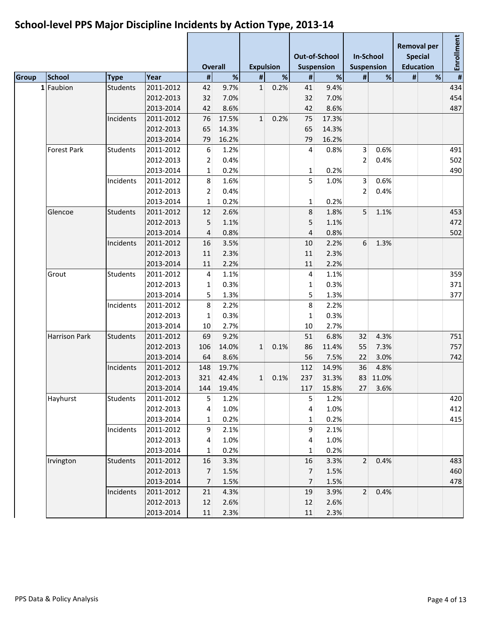|              |                      |                 |           |                | <b>Overall</b> | <b>Expulsion</b> |      |                | <b>Out-of-School</b><br><b>Suspension</b> | <b>In-School</b><br><b>Suspension</b> |         |   | <b>Removal per</b><br><b>Special</b><br><b>Education</b> | Enrollment              |
|--------------|----------------------|-----------------|-----------|----------------|----------------|------------------|------|----------------|-------------------------------------------|---------------------------------------|---------|---|----------------------------------------------------------|-------------------------|
| <b>Group</b> | School               | <b>Type</b>     | Year      | $\#$           | %              | #                | $\%$ | #              | $\%$                                      | #                                     | %       | # | %                                                        | $\overline{\mathbf{H}}$ |
| 1            | Faubion              | <b>Students</b> | 2011-2012 | 42             | 9.7%           | $\mathbf{1}$     | 0.2% | 41             | 9.4%                                      |                                       |         |   |                                                          | 434                     |
|              |                      |                 | 2012-2013 | 32             | 7.0%           |                  |      | 32             | 7.0%                                      |                                       |         |   |                                                          | 454                     |
|              |                      |                 | 2013-2014 | 42             | 8.6%           |                  |      | 42             | 8.6%                                      |                                       |         |   |                                                          | 487                     |
|              |                      | Incidents       | 2011-2012 | 76             | 17.5%          | 1                | 0.2% | 75             | 17.3%                                     |                                       |         |   |                                                          |                         |
|              |                      |                 | 2012-2013 | 65             | 14.3%          |                  |      | 65             | 14.3%                                     |                                       |         |   |                                                          |                         |
|              |                      |                 | 2013-2014 | 79             | 16.2%          |                  |      | 79             | 16.2%                                     |                                       |         |   |                                                          |                         |
|              | <b>Forest Park</b>   | <b>Students</b> | 2011-2012 | 6              | 1.2%           |                  |      | 4              | 0.8%                                      | 3                                     | 0.6%    |   |                                                          | 491                     |
|              |                      |                 | 2012-2013 | $\overline{2}$ | 0.4%           |                  |      |                |                                           | 2                                     | 0.4%    |   |                                                          | 502                     |
|              |                      |                 | 2013-2014 | $\mathbf{1}$   | 0.2%           |                  |      | $\mathbf{1}$   | 0.2%                                      |                                       |         |   |                                                          | 490                     |
|              |                      | Incidents       | 2011-2012 | 8              | 1.6%           |                  |      | 5              | 1.0%                                      | 3                                     | 0.6%    |   |                                                          |                         |
|              |                      |                 | 2012-2013 | $\overline{2}$ | 0.4%           |                  |      |                |                                           | 2                                     | 0.4%    |   |                                                          |                         |
|              |                      |                 | 2013-2014 | $\mathbf{1}$   | 0.2%           |                  |      | 1              | 0.2%                                      |                                       |         |   |                                                          |                         |
|              | Glencoe              | <b>Students</b> | 2011-2012 | 12             | 2.6%           |                  |      | 8              | 1.8%                                      | 5                                     | 1.1%    |   |                                                          | 453                     |
|              |                      |                 | 2012-2013 | 5              | 1.1%           |                  |      | 5              | 1.1%                                      |                                       |         |   |                                                          | 472                     |
|              |                      |                 | 2013-2014 | 4              | 0.8%           |                  |      | 4              | 0.8%                                      |                                       |         |   |                                                          | 502                     |
|              |                      | Incidents       | 2011-2012 | 16             | 3.5%           |                  |      | 10             | 2.2%                                      | 6                                     | 1.3%    |   |                                                          |                         |
|              |                      |                 | 2012-2013 | 11             | 2.3%           |                  |      | 11             | 2.3%                                      |                                       |         |   |                                                          |                         |
|              |                      |                 | 2013-2014 | 11             | 2.2%           |                  |      | 11             | 2.2%                                      |                                       |         |   |                                                          |                         |
|              | Grout                | Students        | 2011-2012 | 4              | 1.1%           |                  |      | 4              | 1.1%                                      |                                       |         |   |                                                          | 359                     |
|              |                      |                 | 2012-2013 | 1              | 0.3%           |                  |      | 1              | 0.3%                                      |                                       |         |   |                                                          | 371                     |
|              |                      |                 | 2013-2014 | 5              | 1.3%           |                  |      | 5              | 1.3%                                      |                                       |         |   |                                                          | 377                     |
|              |                      | Incidents       | 2011-2012 | 8              | 2.2%           |                  |      | 8              | 2.2%                                      |                                       |         |   |                                                          |                         |
|              |                      |                 | 2012-2013 | 1              | 0.3%           |                  |      | $\mathbf{1}$   | 0.3%                                      |                                       |         |   |                                                          |                         |
|              |                      |                 | 2013-2014 | 10             | 2.7%           |                  |      | 10             | 2.7%                                      |                                       |         |   |                                                          |                         |
|              | <b>Harrison Park</b> | <b>Students</b> | 2011-2012 | 69             | 9.2%           |                  |      | 51             | 6.8%                                      | 32                                    | 4.3%    |   |                                                          | 751                     |
|              |                      |                 | 2012-2013 | 106            | 14.0%          | $\mathbf{1}$     | 0.1% | 86             | 11.4%                                     | 55                                    | 7.3%    |   |                                                          | 757                     |
|              |                      |                 | 2013-2014 | 64             | 8.6%           |                  |      | 56             | 7.5%                                      | 22                                    | 3.0%    |   |                                                          | 742                     |
|              |                      | Incidents       | 2011-2012 | 148            | 19.7%          |                  |      | 112            | 14.9%                                     | 36                                    | 4.8%    |   |                                                          |                         |
|              |                      |                 | 2012-2013 | 321            | 42.4%          | 1                | 0.1% | 237            | 31.3%                                     | 83                                    | 11.0%   |   |                                                          |                         |
|              |                      |                 | 2013-2014 | 144            | 19.4%          |                  |      | 117            | 15.8%                                     |                                       | 27 3.6% |   |                                                          |                         |
|              | Hayhurst             | <b>Students</b> | 2011-2012 | 5              | 1.2%           |                  |      | 5              | 1.2%                                      |                                       |         |   |                                                          | 420                     |
|              |                      |                 | 2012-2013 | 4              | 1.0%           |                  |      | 4              | 1.0%                                      |                                       |         |   |                                                          | 412                     |
|              |                      |                 | 2013-2014 | $\mathbf{1}$   | 0.2%           |                  |      | 1              | 0.2%                                      |                                       |         |   |                                                          | 415                     |
|              |                      | Incidents       | 2011-2012 | 9              | 2.1%           |                  |      | 9              | 2.1%                                      |                                       |         |   |                                                          |                         |
|              |                      |                 | 2012-2013 | 4              | 1.0%           |                  |      | 4              | 1.0%                                      |                                       |         |   |                                                          |                         |
|              |                      |                 | 2013-2014 | 1              | 0.2%           |                  |      | $\mathbf{1}$   | 0.2%                                      |                                       |         |   |                                                          |                         |
|              | Irvington            | <b>Students</b> | 2011-2012 | 16             | 3.3%           |                  |      | 16             | 3.3%                                      | $\overline{2}$                        | 0.4%    |   |                                                          | 483                     |
|              |                      |                 | 2012-2013 | $\overline{7}$ | 1.5%           |                  |      | $\overline{7}$ | 1.5%                                      |                                       |         |   |                                                          | 460                     |
|              |                      |                 | 2013-2014 | $\overline{7}$ | 1.5%           |                  |      | $\overline{7}$ | 1.5%                                      |                                       |         |   |                                                          | 478                     |
|              |                      | Incidents       | 2011-2012 | 21             | 4.3%           |                  |      | 19             | 3.9%                                      | 2 <sup>1</sup>                        | 0.4%    |   |                                                          |                         |
|              |                      |                 | 2012-2013 | 12             | 2.6%           |                  |      | 12             | 2.6%                                      |                                       |         |   |                                                          |                         |
|              |                      |                 | 2013-2014 | 11             | 2.3%           |                  |      | 11             | 2.3%                                      |                                       |         |   |                                                          |                         |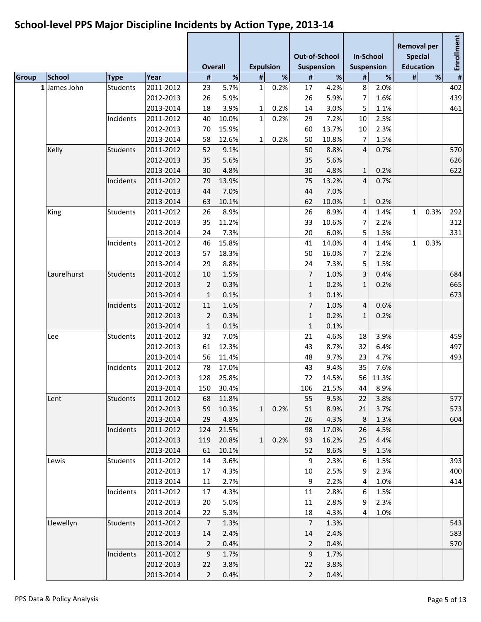|                 |                 |           |                | <b>Overall</b> | <b>Expulsion</b> |      |                | <b>Out-of-School</b><br><b>Suspension</b> | <b>In-School</b><br><b>Suspension</b> |          | <b>Removal per</b><br><b>Special</b> | <b>Education</b> | Enrollment |
|-----------------|-----------------|-----------|----------------|----------------|------------------|------|----------------|-------------------------------------------|---------------------------------------|----------|--------------------------------------|------------------|------------|
| <b>School</b>   | <b>Type</b>     | Year      | $\pmb{\sharp}$ | %              | #                | %    | $\sharp$       | $\%$                                      | $\pmb{\sharp}$                        | %        | #                                    | %                | #          |
| James John<br>1 | <b>Students</b> | 2011-2012 | 23             | 5.7%           | $1\vert$         | 0.2% | 17             | 4.2%                                      | 8                                     | 2.0%     |                                      |                  | 402        |
|                 |                 | 2012-2013 | 26             | 5.9%           |                  |      | 26             | 5.9%                                      | $\overline{7}$                        | 1.6%     |                                      |                  | 439        |
|                 |                 | 2013-2014 | 18             | 3.9%           | $\mathbf{1}$     | 0.2% | 14             | 3.0%                                      | 5                                     | 1.1%     |                                      |                  | 461        |
|                 | Incidents       | 2011-2012 | 40             | 10.0%          | 1 <sup>1</sup>   | 0.2% | 29             | 7.2%                                      | 10                                    | 2.5%     |                                      |                  |            |
|                 |                 | 2012-2013 | 70             | 15.9%          |                  |      | 60             | 13.7%                                     | 10                                    | 2.3%     |                                      |                  |            |
|                 |                 | 2013-2014 | 58             | 12.6%          | $\mathbf{1}$     | 0.2% | 50             | 10.8%                                     | 7                                     | 1.5%     |                                      |                  |            |
| Kelly           | <b>Students</b> | 2011-2012 | 52             | 9.1%           |                  |      | 50             | 8.8%                                      | $\overline{4}$                        | 0.7%     |                                      |                  | 570        |
|                 |                 | 2012-2013 | 35             | 5.6%           |                  |      | 35             | 5.6%                                      |                                       |          |                                      |                  | 626        |
|                 |                 | 2013-2014 | 30             | 4.8%           |                  |      | 30             | 4.8%                                      | $\mathbf{1}$                          | 0.2%     |                                      |                  | 622        |
|                 | Incidents       | 2011-2012 | 79             | 13.9%          |                  |      | 75             | 13.2%                                     | $\overline{4}$                        | 0.7%     |                                      |                  |            |
|                 |                 | 2012-2013 | 44             | 7.0%           |                  |      | 44             | 7.0%                                      |                                       |          |                                      |                  |            |
|                 |                 | 2013-2014 | 63             | 10.1%          |                  |      | 62             | 10.0%                                     | $\mathbf{1}$                          | 0.2%     |                                      |                  |            |
| King            | <b>Students</b> | 2011-2012 | 26             | 8.9%           |                  |      | 26             | 8.9%                                      | 4                                     | 1.4%     | 1                                    | 0.3%             | 292        |
|                 |                 | 2012-2013 | 35             | 11.2%          |                  |      | 33             | 10.6%                                     | 7                                     | 2.2%     |                                      |                  | 312        |
|                 |                 | 2013-2014 | 24             | 7.3%           |                  |      | 20             | 6.0%                                      | 5                                     | 1.5%     |                                      |                  | 331        |
|                 | Incidents       | 2011-2012 | 46             | 15.8%          |                  |      | 41             | 14.0%                                     | 4                                     | 1.4%     | $1\vert$                             | 0.3%             |            |
|                 |                 | 2012-2013 | 57             | 18.3%          |                  |      | 50             | 16.0%                                     | $\overline{7}$                        | 2.2%     |                                      |                  |            |
|                 |                 | 2013-2014 | 29             | 8.8%           |                  |      | 24             | 7.3%                                      | 5                                     | 1.5%     |                                      |                  |            |
| Laurelhurst     | <b>Students</b> | 2011-2012 | 10             | 1.5%           |                  |      | 7              | 1.0%                                      | $\overline{3}$                        | 0.4%     |                                      |                  | 684        |
|                 |                 | 2012-2013 | $\overline{2}$ | 0.3%           |                  |      | $\mathbf{1}$   | 0.2%                                      | $\mathbf{1}$                          | 0.2%     |                                      |                  | 665        |
|                 |                 | 2013-2014 | $\mathbf{1}$   | 0.1%           |                  |      | $\mathbf{1}$   | 0.1%                                      |                                       |          |                                      |                  | 673        |
|                 | Incidents       | 2011-2012 | 11             | 1.6%           |                  |      | 7              | 1.0%                                      | 4                                     | 0.6%     |                                      |                  |            |
|                 |                 | 2012-2013 | $\overline{2}$ | 0.3%           |                  |      | $\mathbf{1}$   | 0.2%                                      | $\mathbf{1}$                          | 0.2%     |                                      |                  |            |
|                 |                 | 2013-2014 | $\mathbf{1}$   | 0.1%           |                  |      | $\mathbf{1}$   | 0.1%                                      |                                       |          |                                      |                  |            |
| Lee             | <b>Students</b> | 2011-2012 | 32             | 7.0%           |                  |      | 21             | 4.6%                                      | 18                                    | 3.9%     |                                      |                  | 459        |
|                 |                 | 2012-2013 | 61             | 12.3%          |                  |      | 43             | 8.7%                                      | 32                                    | 6.4%     |                                      |                  | 497        |
|                 |                 | 2013-2014 | 56             | 11.4%          |                  |      | 48             | 9.7%                                      | 23                                    | 4.7%     |                                      |                  | 493        |
|                 | Incidents       | 2011-2012 | 78             | 17.0%          |                  |      | 43             | 9.4%                                      | 35                                    | 7.6%     |                                      |                  |            |
|                 |                 | 2012-2013 | 128            | 25.8%          |                  |      | 72             | 14.5%                                     |                                       | 56 11.3% |                                      |                  |            |
|                 |                 | 2013-2014 | 150            | 30.4%          |                  |      | 106            | 21.5%                                     |                                       | 44 8.9%  |                                      |                  |            |
| Lent            | <b>Students</b> | 2011-2012 | 68             | 11.8%          |                  |      | 55             | 9.5%                                      | 22                                    | 3.8%     |                                      |                  | 577        |
|                 |                 | 2012-2013 | 59             | 10.3%          | $1\vert$         | 0.2% | 51             | 8.9%                                      | 21                                    | 3.7%     |                                      |                  | 573        |
|                 |                 | 2013-2014 | 29             | 4.8%           |                  |      | 26             | 4.3%                                      | 8                                     | 1.3%     |                                      |                  | 604        |
|                 | Incidents       | 2011-2012 | 124            | 21.5%          |                  |      | 98             | 17.0%                                     | 26                                    | 4.5%     |                                      |                  |            |
|                 |                 | 2012-2013 | 119            | 20.8%          | $1\overline{ }$  | 0.2% | 93             | 16.2%                                     | 25                                    | 4.4%     |                                      |                  |            |
|                 |                 | 2013-2014 | 61             | 10.1%          |                  |      | 52             | 8.6%                                      | 9                                     | 1.5%     |                                      |                  |            |
| Lewis           | <b>Students</b> | 2011-2012 | 14             | 3.6%           |                  |      | 9              | 2.3%                                      | 6                                     | 1.5%     |                                      |                  | 393        |
|                 |                 | 2012-2013 | 17             | 4.3%           |                  |      | 10             | 2.5%                                      | 9                                     | 2.3%     |                                      |                  | 400        |
|                 |                 | 2013-2014 | 11             | 2.7%           |                  |      | 9              | 2.2%                                      | 4                                     | 1.0%     |                                      |                  | 414        |
|                 | Incidents       | 2011-2012 | 17             | 4.3%           |                  |      | 11             | 2.8%                                      | 6                                     | 1.5%     |                                      |                  |            |
|                 |                 | 2012-2013 | 20             | 5.0%           |                  |      | 11             | 2.8%                                      | 9                                     | 2.3%     |                                      |                  |            |
|                 |                 | 2013-2014 | 22             | 5.3%           |                  |      | 18             | 4.3%                                      | 4                                     | 1.0%     |                                      |                  |            |
| Llewellyn       | <b>Students</b> | 2011-2012 | $\overline{7}$ | 1.3%           |                  |      | $\overline{7}$ | 1.3%                                      |                                       |          |                                      |                  | 543        |
|                 |                 | 2012-2013 | 14             | 2.4%           |                  |      | 14             | 2.4%                                      |                                       |          |                                      |                  | 583        |
|                 |                 | 2013-2014 | 2              | 0.4%           |                  |      | $\overline{2}$ | 0.4%                                      |                                       |          |                                      |                  | 570        |
|                 | Incidents       | 2011-2012 | 9              | 1.7%           |                  |      | 9              | 1.7%                                      |                                       |          |                                      |                  |            |
|                 |                 | 2012-2013 | 22             | 3.8%           |                  |      | 22             | 3.8%                                      |                                       |          |                                      |                  |            |
|                 |                 | 2013-2014 | $\overline{2}$ | 0.4%           |                  |      | $\overline{2}$ | 0.4%                                      |                                       |          |                                      |                  |            |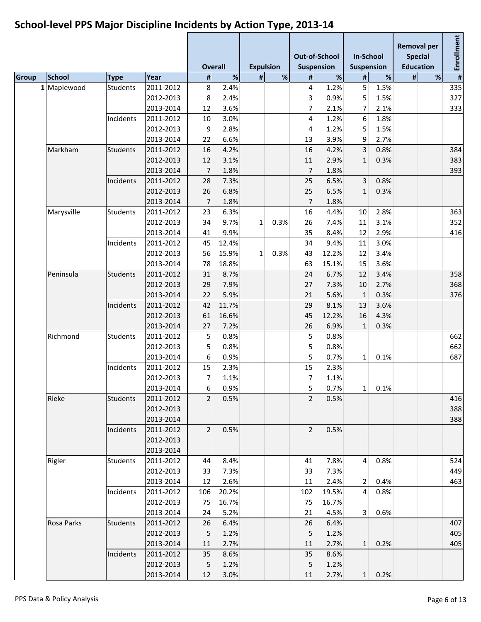#### **Overall Expulsion Out-of-School Suspension In-School Suspension Removal per Special Education Enrollment Group School Type Year # % # % # % # % # % # 1** Maplewood Students 2011-2012 8 2.4% 4 1.2% 5 1.5% 335 2012-2013 8 2.4% 3 0.9% 5 1.5% 327 2013-2014 12 3.6% 7 2.1% 7 2.1% 333 Incidents 2011-2012 10 3.0% 4 1.2% 6 1.8% 2012-2013 9 2.8% 4 1.2% 5 1.5% 2013-2014 22 6.6% 13 3.9% 9 2.7% Markham Students 2011-2012 | 16 4.2% | 16 4.2% 3 0.8% | 384 2012-2013 12 3.1% 11 2.9% 1 0.3% 383 2013-2014 7 1.8% 7 1.8% 393 Incidents 2011-2012 28 7.3% 25 6.5% 3 0.8% 2012-2013 26 6.8% 25 6.5% 1 0.3% 2013-2014 7 1.8% 7 1.8% Marysville Students 2011-2012 | 23 6.3% | 16 4.4% 10 2.8% | 363 2012-2013 34 9.7% 1 0.3% 26 7.4% 11 3.1% 352 2013-2014 41 9.9% 35 8.4% 12 2.9% 416 Incidents 2011-2012 45 12.4% 34 9.4% 11 3.0% 2012-2013 56 15.9% 1 0.3% 43 12.2% 12 3.4% 2013-2014 78 18.8% 63 15.1% 15 3.6% Peninsula Students 2011-2012 31 8.7% 24 6.7% 12 3.4% 358 2012-2013 29 7.9% 27 7.3% 10 2.7% 368 2013-2014 22 5.9% 21 5.6% 1 0.3% 376 Incidents 2011-2012 42 11.7% 29 8.1% 13 3.6% 2012-2013 61 16.6% 45 12.2% 16 4.3% 2013-2014 27 7.2% 26 6.9% 1 0.3% Richmond Students 2011-2012 | 5 0.8% | 5 0.8% | 5 662  $2012-2013$  5 0.8% 5 0.8% 5 0.8% 662 2013-2014 6 0.9% 5 0.7% 1 0.1% 687 Incidents 2011-2012 15 2.3% 15 15 2.3% 2012-2013 7 1.1% 7 1.1% 2013-2014 6 0.9% 5 0.7% 1 0.1% Rieke Students 2011-2012 2 0.5% 2 0.5% 416 2012-2013 388 2013-2014 388 Incidents 2011-2012 2 0.5% 2 0.5% 2012-2013 2013-2014 Rigler Students 2011-2012 44 8.4% 41 7.8% 4 0.8% 524 2012-2013 33 7.3% 33 7.3% 449 2013-2014 12 2.6% 11 2.4% 2 0.4% 463 Incidents 2011-2012 106 20.2% 102 19.5% 4 0.8% 2012-2013 75 16.7% 75 16.7% 2013-2014 24 5.2% 21 4.5% 3 0.6% Rosa Parks Students 2011-2012 26 6.4% 26 6.4% 407 2012-2013 5 1.2% 5 1.2% 405 2013-2014 11 2.7% 11 2.7% 1 0.2% 405 Incidents 2011-2012 35 8.6% 35 8.6% 2012-2013 5 1.2% 5 1.2% 2013-2014 12 3.0% 11 2.7% 1 0.2%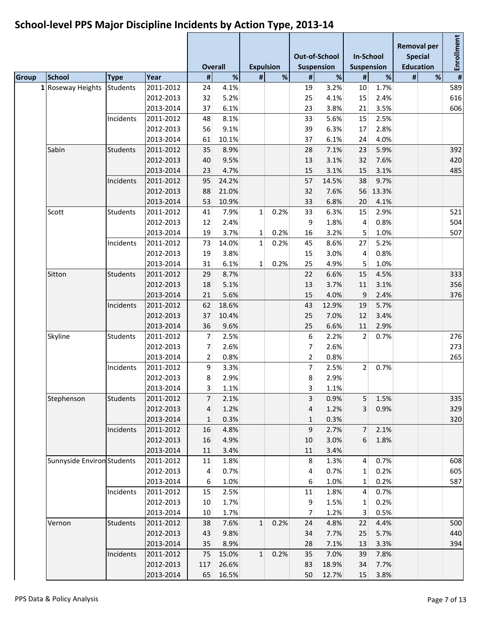#### **Overall Expulsion Out-of-School Suspension In-School Suspension Removal per Special Education Enrollment Group School Type Year # % # % # % # % # % # 1** Roseway Heights Students 2011-2012 24 4.1% 19 3.2% 10 1.7% 19 589 2012-2013 32 5.2% 25 4.1% 15 2.4% 616 2013-2014 37 6.1% 23 3.8% 21 3.5% 606 Incidents 2011-2012 48 8.1% 33 5.6% 15 2.5% 2012-2013 56 9.1% 39 6.3% 17 2.8% 2013-2014 61 10.1% 37 6.1% 24 4.0% Sabin Students 2011-2012 35 8.9% 28 7.1% 23 5.9% 392 2012-2013 40 9.5% 13 3.1% 32 7.6% 420 2013-2014 23 4.7% 15 3.1% 15 3.1% 485 Incidents 2011-2012 95 24.2% 57 14.5% 38 9.7% 2012-2013 88 21.0% 32 7.6% 56 13.3% 2013-2014 53 10.9% 33 6.8% 20 4.1% Scott Students 2011-2012 41 7.9% 1 0.2% 33 6.3% 15 2.9% 521 2012-2013 12 2.4% 9 1.8% 4 0.8% 504 2013-2014 19 3.7% 1 0.2% 16 3.2% 5 1.0% 507 Incidents 2011-2012 73 14.0% 1 0.2% 45 8.6% 27 5.2% 2012-2013 19 3.8% 15 3.0% 4 0.8% 2013-2014 31 6.1% 1 0.2% 25 4.9% 5 1.0% Sitton Students 2011-2012 29 8.7% 22 6.6% 15 4.5% 333 2012-2013 18 5.1% 13 3.7% 11 3.1% 356 2013-2014 21 5.6% 15 4.0% 9 2.4% 376 Incidents 2011-2012 62 18.6% 43 12.9% 19 5.7% 2012-2013 37 10.4% 25 7.0% 12 3.4% 2013-2014 36 9.6% 25 6.6% 11 2.9% Skyline Students 2011-2012 7 2.5% 6 2.2% 2 0.7% 276 2012-2013 7 2.6% 7 2.6% 273  $2013-2014$  2 0.8% 265 Incidents 2011-2012 9 3.3% 7 2.5% 2 0.7% 2012-2013 8 2.9% 8 2.9% 2013-2014 3 1.1% 3 1.1% Stephenson Students 2011-2012 7 2.1% 3 0.9% 5 1.5% 335 2012-2013 4 1.2% 4 1.2% 3 0.9% 329  $2013-2014$  1 0.3% 1 0.3% 320 Incidents 2011-2012 16 4.8% 9 2.7% 7 2.1% 2012-2013 16 4.9% 10 3.0% 6 1.8% 2013-2014 11 3.4% 11 3.4% Sunnyside EnvironsStudents 2011-2012 11 1.8% 8 1.3% 4 0.7% 8 1.3% 8 1.3% 8 1.3% 8 1.3% 8 1.3% 8 1.3% 8 1.3% 8 1.3% 8 1.3% 8 1.3% 8 1.3% 8 1.3% 8 1.3% 8 1.3% 8 1.3% 8 1.3% 8 1.3% 8 1.3% 8 1.3% 8 1.3% 8 1.3% 8 1.3% 8 1.3% 8 2012-2013 4 0.7% 4 0.7% 1 0.2% 605 2013-2014 6 1.0% 6 1.0% 1 0.2% 587 Incidents 2011-2012 15 2.5% 11 1.8% 4 0.7% 2012-2013 10 1.7% 9 1.5% 1 0.2% 2013-2014 10 1.7% 7 1.2% 3 0.5% Vernon Students 2011-2012 38 7.6% 1 0.2% 24 4.8% 22 4.4% 500 2012-2013 43 9.8% 34 7.7% 25 5.7% 440 2013-2014 35 8.9% 28 7.1% 13 3.3% 394 Incidents 2011-2012 75 15.0% 1 0.2% 35 7.0% 39 7.8% 2012-2013 117 26.6% 83 18.9% 34 7.7% 2013-2014 65 16.5% 50 12.7% 15 3.8%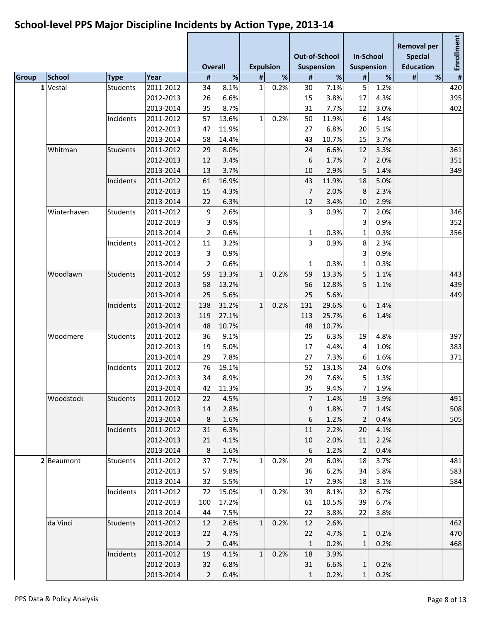#### **Overall Expulsion Out-of-School Suspension In-School Suspension Removal per Special Education Enrollment Group School Type Year # % # % # % # % # % # 1** Vestal Students 2011-2012 34 8.1% 1 0.2% 30 7.1% 5 1.2% 420 2012-2013 26 6.6% 15 3.8% 17 4.3% 395 2013-2014 35 8.7% 31 7.7% 12 3.0% 402 Incidents 2011-2012 57 13.6% 1 0.2% 50 11.9% 6 1.4% 2012-2013 47 11.9% 27 6.8% 20 5.1% 2013-2014 58 14.4% 43 10.7% 15 3.7% Whitman Students 2011-2012 29 8.0% 24 6.6% 12 3.3% 361 2012-2013 12 3.4% 6 1.7% 7 2.0% 351 2013-2014 13 3.7% 10 2.9% 5 1.4% 349 Incidents 2011-2012 61 16.9% 18 43 11.9% 18 5.0% 2012-2013 15 4.3% 7 2.0% 8 2.3% 2013-2014 22 6.3% 12 3.4% 10 2.9% Winterhaven Students 2011-2012 | 9 2.6% | 3 0.9% 7 2.0% | 346 2012-2013 3 0.9% 3 0.9% 352 2013-2014 2 0.6% 1 0.3% 1 0.3% 356 Incidents 2011-2012 11 3.2% 3 0.9% 8 2.3% 2012-2013 3 0.9% 3 0.9% 2013-2014 2 0.6% 1 0.3% 1 0.3% Woodlawn Students 2011-2012 59 13.3% 1 0.2% 59 13.3% 5 1.1% 443 2012-2013 58 13.2% 56 12.8% 5 1.1% 439 2013-2014 25 5.6% 25 5.6% 449 Incidents 2011-2012 138 31.2% 1 0.2% 131 29.6% 6 1.4% 2012-2013 119 27.1% 113 25.7% 6 1.4% 2013-2014 48 10.7% 48 10.7% Woodmere Students 2011-2012 36 9.1% 25 6.3% 19 4.8% 397 2012-2013 19 5.0% 17 4.4% 4 1.0% 383 2013-2014 29 7.8% 27 7.3% 6 1.6% 371 Incidents 2011-2012 76 19.1% 52 13.1% 24 6.0% 2012-2013 34 8.9% 29 7.6% 5 1.3% 2013-2014 42 11.3% 35 9.4% 7 1.9% Woodstock Students 2011-2012 22 4.5% 7 1.4% 19 3.9% 491 2012-2013 14 2.8% 9 1.8% 7 1.4% 508 2013-2014 8 1.6% 6 1.2% 2 0.4% 505 Incidents 2011-2012 31 6.3% 11 2.2% 20 4.1% 2012-2013 21 4.1% 10 2.0% 11 2.2% 2013-2014 8 1.6% 6 1.2% 2 0.4% **2** Beaumont Students 2011-2012 37 7.7% 1 0.2% 29 6.0% 18 3.7% 481 2012-2013 57 9.8% 36 6.2% 34 5.8% 583 2013-2014 32 5.5% 17 2.9% 18 3.1% 584 Incidents 2011-2012 72 15.0% 1 0.2% 39 8.1% 32 6.7% 2012-2013 100 17.2% 61 10.5% 39 6.7% 2013-2014 44 7.5% 22 3.8% 22 3.8% da Vinci Students 2011-2012 12 2.6% 1 0.2% 12 2.6% 462 2012-2013 22 4.7% 22 4.7% 1 0.2% 470 2013-2014 2 0.4% 1 0.2% 1 0.2% 468 Incidents 2011-2012 19 4.1% 1 0.2% 18 3.9% 2012-2013 32 6.8% 31 6.6% 1 0.2% 2013-2014 2 0.4% 1 0.2% 1 0.2%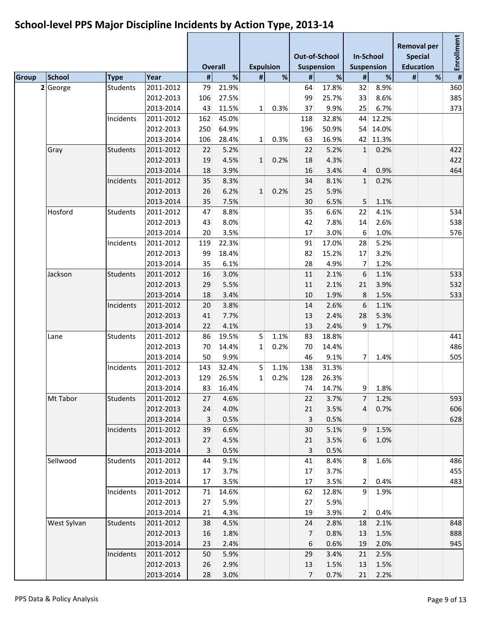#### **Overall Expulsion Out-of-School Suspension In-School Suspension Removal per Special Education Enrollment Group School Type Year # % # % # % # % # % # 2** George Students 2011-2012 79 21.9% 64 17.8% 32 8.9% 360 2012-2013 106 27.5% 99 25.7% 33 8.6% 385 2013-2014 43 11.5% 1 0.3% 37 9.9% 25 6.7% 373 Incidents 2011-2012 162 45.0% 118 32.8% 44 12.2% 2012-2013 250 64.9% 196 50.9% 54 14.0% 2013-2014 106 28.4% 1 0.3% 63 16.9% 42 11.3% Gray Students 2011-2012 22 5.2% 22 5.2% 1 0.2% 422 2012-2013 19 4.5% 1 0.2% 18 4.3% 422 2013-2014 18 3.9% 16 3.4% 4 0.9% 464 Incidents 2011-2012 35 8.3% 1 34 8.1% 1 0.2% 2012-2013 26 6.2% 1 0.2% 25 5.9% 2013-2014 35 7.5% 30 6.5% 5 1.1% Hosford Students 2011-2012 47 8.8% 35 6.6% 22 4.1% 534 2012-2013 43 8.0% 42 7.8% 14 2.6% 538 2013-2014 20 3.5% 17 3.0% 6 1.0% 576 Incidents 2011-2012 119 22.3% 91 17.0% 28 5.2% 2012-2013 99 18.4% 82 15.2% 17 3.2% 2013-2014 35 6.1% 28 4.9% 7 1.2% Jackson Students 2011-2012 16 3.0% 11 2.1% 6 1.1% 533 2012-2013 29 5.5% 11 2.1% 21 3.9% 532 2013-2014 18 3.4% 10 1.9% 8 1.5% 533 Incidents 2011-2012 20 3.8% 14 2.6% 6 1.1% 2012-2013 41 7.7% 13 2.4% 28 5.3% 2013-2014 22 4.1% 13 2.4% 9 1.7% Lane Students 2011-2012 86 19.5% 5 1.1% 83 18.8% 441 2012-2013 70 14.4% 1 0.2% 70 14.4% 486 2013-2014 50 9.9% 46 9.1% 7 1.4% 505 Incidents 2011-2012 143 32.4% 5 1.1% 138 31.3% 2012-2013 129 26.5% 1 0.2% 128 26.3% 2013-2014 83 16.4% 74 14.7% 9 1.8% Mt Tabor Students 2011-2012 27 4.6% 22 3.7% 7 1.2% 593 2012-2013 24 4.0% 21 3.5% 4 0.7% 606 2013-2014 3 0.5% 3 0.5% 628 Incidents 2011-2012 39 6.6% 30 5.1% 9 1.5% 2012-2013 27 4.5% 21 3.5% 6 1.0% 2013-2014 3 0.5% 3 0.5% Sellwood Students 2011-2012 44 9.1% 41 8.4% 8 1.6% 486 2012-2013 17 3.7% 17 3.7% 455 2013-2014 17 3.5% 17 3.5% 2 0.4% 483 Incidents 2011-2012 71 14.6% 62 12.8% 9 1.9% 2012-2013 27 5.9% 27 5.9% 2013-2014 21 4.3% 19 3.9% 2 0.4% West Sylvan Students 2011-2012 38 4.5% 24 2.8% 18 2.1% 21 848 2012-2013 16 1.8% 7 0.8% 13 1.5% 888 2013-2014 23 2.4% 6 0.6% 19 2.0% 945 Incidents 2011-2012 50 5.9% 29 3.4% 21 2.5% 2012-2013 26 2.9% 13 1.5% 13 1.5% 2013-2014 28 3.0% 7 0.7% 21 2.2%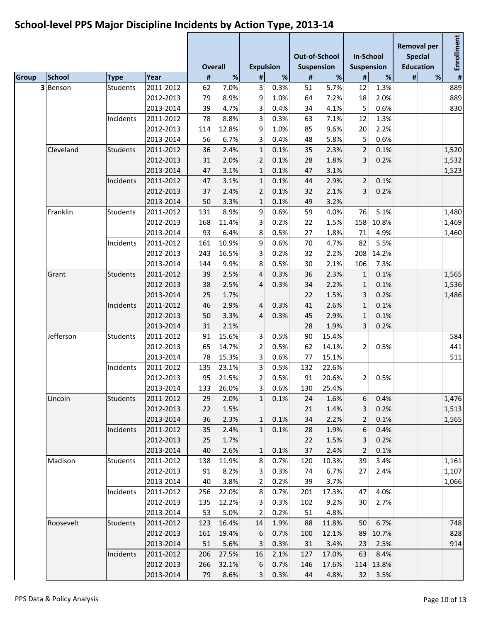|               |                 |           |                | <b>Overall</b> | <b>Expulsion</b>  |      |          | <b>Out-of-School</b><br><b>Suspension</b> | <b>In-School</b>    | <b>Suspension</b> | <b>Removal per</b> | <b>Special</b><br><b>Education</b> | Enrollment |
|---------------|-----------------|-----------|----------------|----------------|-------------------|------|----------|-------------------------------------------|---------------------|-------------------|--------------------|------------------------------------|------------|
| <b>School</b> | <b>Type</b>     | Year      | $\pmb{\sharp}$ | %              | $\sharp$          | $\%$ | #        | $\%$                                      | #                   | %                 | #                  | %                                  | #          |
| 3 Benson      | <b>Students</b> | 2011-2012 | 62             | 7.0%           | 3                 | 0.3% | 51       | 5.7%                                      | 12                  | 1.3%              |                    |                                    | 889        |
|               |                 | 2012-2013 | 79             | 8.9%           | 9                 | 1.0% | 64       | 7.2%                                      | 18                  | 2.0%              |                    |                                    | 889        |
|               |                 | 2013-2014 | 39             | 4.7%           | 3                 | 0.4% | 34       | 4.1%                                      | 5                   | 0.6%              |                    |                                    | 830        |
|               | Incidents       | 2011-2012 | 78             | 8.8%           | 3                 | 0.3% | 63       | 7.1%                                      | 12                  | 1.3%              |                    |                                    |            |
|               |                 | 2012-2013 | 114            | 12.8%          | 9                 | 1.0% | 85       | 9.6%                                      | 20                  | 2.2%              |                    |                                    |            |
|               |                 | 2013-2014 | 56             | 6.7%           | 3                 | 0.4% | 48       | 5.8%                                      | 5                   | 0.6%              |                    |                                    |            |
| Cleveland     | <b>Students</b> | 2011-2012 | 36             | 2.4%           | $\mathbf{1}$      | 0.1% | 35       | 2.3%                                      | $\mathbf 2$         | 0.1%              |                    |                                    | 1,520      |
|               |                 | 2012-2013 | 31             | 2.0%           | 2                 | 0.1% | 28       | 1.8%                                      | 3                   | 0.2%              |                    |                                    | 1,532      |
|               |                 | 2013-2014 | 47             | 3.1%           | $\mathbf{1}$      | 0.1% | 47       | 3.1%                                      |                     |                   |                    |                                    | 1,523      |
|               | Incidents       | 2011-2012 | 47             | 3.1%           | $\mathbf{1}$      | 0.1% | 44       | 2.9%                                      | $\overline{2}$      | 0.1%              |                    |                                    |            |
|               |                 | 2012-2013 | 37             | 2.4%           | 2                 | 0.1% | 32       | 2.1%                                      | 3                   | 0.2%              |                    |                                    |            |
|               |                 | 2013-2014 | 50             | 3.3%           | 1                 | 0.1% | 49       | 3.2%                                      |                     |                   |                    |                                    |            |
| Franklin      | Students        | 2011-2012 | 131            | 8.9%           | 9                 | 0.6% | 59       | 4.0%                                      | 76                  | 5.1%              |                    |                                    | 1,480      |
|               |                 | 2012-2013 | 168            | 11.4%          | 3                 | 0.2% | 22       | 1.5%                                      | 158                 | 10.8%             |                    |                                    | 1,469      |
|               |                 | 2013-2014 | 93             | 6.4%           | 8                 | 0.5% | 27       | 1.8%                                      | 71                  | 4.9%              |                    |                                    | 1,460      |
|               | Incidents       | 2011-2012 | 161            | 10.9%          | 9                 | 0.6% | 70       | 4.7%                                      | 82                  | 5.5%              |                    |                                    |            |
|               |                 | 2012-2013 | 243            | 16.5%          | 3                 | 0.2% | 32       | 2.2%                                      | 208                 | 14.2%             |                    |                                    |            |
|               |                 | 2013-2014 | 144            | 9.9%           | 8                 | 0.5% | 30       | 2.1%                                      | 106                 | 7.3%              |                    |                                    |            |
| Grant         | <b>Students</b> | 2011-2012 | 39             | 2.5%           | 4                 | 0.3% | 36       | 2.3%                                      | $\mathbf{1}$        | 0.1%              |                    |                                    | 1,565      |
|               |                 | 2012-2013 | 38             | 2.5%           | 4                 | 0.3% | 34       | 2.2%                                      | $\mathbf{1}$        | 0.1%              |                    |                                    | 1,536      |
|               |                 | 2013-2014 | 25             | 1.7%           |                   |      | 22       | 1.5%                                      | 3                   | 0.2%              |                    |                                    | 1,486      |
|               | Incidents       | 2011-2012 | 46             | 2.9%           | 4                 | 0.3% | 41       | 2.6%                                      | $\mathbf 1$         | 0.1%              |                    |                                    |            |
|               |                 | 2012-2013 | 50             | 3.3%           | 4                 | 0.3% | 45       | 2.9%                                      | $\mathbf{1}$        | 0.1%              |                    |                                    |            |
|               |                 | 2013-2014 | 31             | 2.1%           |                   |      | 28       | 1.9%                                      | 3                   | 0.2%              |                    |                                    |            |
| Jefferson     | <b>Students</b> | 2011-2012 | 91             | 15.6%          | 3                 | 0.5% | 90       | 15.4%                                     |                     |                   |                    |                                    | 584        |
|               |                 | 2012-2013 | 65             | 14.7%          | 2                 | 0.5% | 62       | 14.1%                                     | 2                   | 0.5%              |                    |                                    | 441        |
|               |                 | 2013-2014 | 78             | 15.3%          | 3                 | 0.6% | 77       | 15.1%                                     |                     |                   |                    |                                    | 511        |
|               | Incidents       | 2011-2012 | 135            | 23.1%          | 3                 | 0.5% | 132      | 22.6%                                     |                     |                   |                    |                                    |            |
|               |                 | 2012-2013 | 95             | 21.5%          | 2                 | 0.5% | 91       | 20.6%                                     | $\overline{2}$      | 0.5%              |                    |                                    |            |
|               |                 | 2013-2014 |                | 133 26.0%      | 3 <sup>2</sup>    | 0.6% | 130      | 25.4%                                     |                     |                   |                    |                                    |            |
|               | <b>Students</b> | 2011-2012 | 29             | 2.0%           | $1\vert$          | 0.1% | 24       | 1.6%                                      | $6\phantom{1}$      | 0.4%              |                    |                                    | 1,476      |
| Lincoln       |                 | 2012-2013 |                | 1.5%           |                   |      |          | 1.4%                                      |                     | 0.2%              |                    |                                    | 1,513      |
|               |                 | 2013-2014 | 22<br>36       |                |                   | 0.1% | 21<br>34 | 2.2%                                      | 3<br>$\overline{2}$ | 0.1%              |                    |                                    |            |
|               |                 | 2011-2012 | 35             | 2.3%           | $\mathbf{1}$<br>1 | 0.1% | 28       | 1.9%                                      | 6                   | 0.4%              |                    |                                    | 1,565      |
|               | Incidents       | 2012-2013 | 25             | 2.4%<br>1.7%   |                   |      |          | 1.5%                                      |                     | 0.2%              |                    |                                    |            |
|               |                 | 2013-2014 | 40             | 2.6%           | 1                 | 0.1% | 22<br>37 | 2.4%                                      | 3<br>$\overline{2}$ | 0.1%              |                    |                                    |            |
| Madison       | Students        | 2011-2012 | 138            | 11.9%          | 8                 | 0.7% | 120      | 10.3%                                     | 39                  | 3.4%              |                    |                                    | 1,161      |
|               |                 | 2012-2013 | 91             | 8.2%           | 3                 | 0.3% | 74       | 6.7%                                      |                     |                   |                    |                                    | 1,107      |
|               |                 | 2013-2014 | 40             | 3.8%           |                   | 0.2% |          | 3.7%                                      | 27                  | 2.4%              |                    |                                    |            |
|               | Incidents       |           |                |                | 2                 |      | 39       |                                           |                     | 4.0%              |                    |                                    | 1,066      |
|               |                 | 2011-2012 | 256            | 22.0%          | 8                 | 0.7% | 201      | 17.3%                                     | 47                  |                   |                    |                                    |            |
|               |                 | 2012-2013 | 135            | 12.2%          | 3                 | 0.3% | 102      | 9.2%                                      | 30                  | 2.7%              |                    |                                    |            |
|               |                 | 2013-2014 | 53             | 5.0%           | 2                 | 0.2% | 51       | 4.8%                                      |                     |                   |                    |                                    |            |
| Roosevelt     | <b>Students</b> | 2011-2012 | 123            | 16.4%          | 14                | 1.9% | 88       | 11.8%                                     | 50                  | 6.7%              |                    |                                    | 748        |
|               |                 | 2012-2013 | 161            | 19.4%          | 6                 | 0.7% | 100      | 12.1%                                     | 89                  | 10.7%             |                    |                                    | 828        |
|               |                 | 2013-2014 | 51             | 5.6%           | 3                 | 0.3% | 31       | 3.4%                                      | 23                  | 2.5%              |                    |                                    | 914        |
|               | Incidents       | 2011-2012 | 206            | 27.5%          | 16                | 2.1% | 127      | 17.0%                                     | 63                  | 8.4%              |                    |                                    |            |
|               |                 | 2012-2013 | 266            | 32.1%          | 6                 | 0.7% | 146      | 17.6%                                     |                     | 114 13.8%         |                    |                                    |            |
|               |                 | 2013-2014 | 79             | 8.6%           | 3                 | 0.3% | 44       | 4.8%                                      | 32                  | 3.5%              |                    |                                    |            |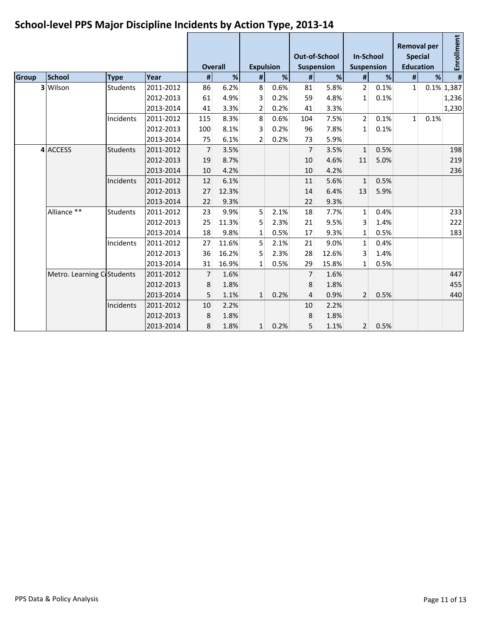|              |                            |                 |           |                | <b>Overall</b> |                | <b>Expulsion</b> |                | <b>Out-of-School</b><br><b>Suspension</b> | <b>In-School</b><br><b>Suspension</b> |      | <b>Removal per</b><br><b>Special</b><br><b>Education</b> |      | Enrollment     |
|--------------|----------------------------|-----------------|-----------|----------------|----------------|----------------|------------------|----------------|-------------------------------------------|---------------------------------------|------|----------------------------------------------------------|------|----------------|
| <b>Group</b> | <b>School</b>              | <b>Type</b>     | Year      | #              | %              | #              | %                | #              | %                                         | #                                     | %    | #                                                        | %    | $\pmb{\sharp}$ |
|              | 3 Wilson                   | <b>Students</b> | 2011-2012 | 86             | 6.2%           | 8              | 0.6%             | 81             | 5.8%                                      | $\overline{2}$                        | 0.1% | $\mathbf{1}$                                             |      | $0.1\%$ 1,387  |
|              |                            |                 | 2012-2013 | 61             | 4.9%           | 3              | 0.2%             | 59             | 4.8%                                      | 1                                     | 0.1% |                                                          |      | 1,236          |
|              |                            |                 | 2013-2014 | 41             | 3.3%           | 2              | 0.2%             | 41             | 3.3%                                      |                                       |      |                                                          |      | 1,230          |
|              |                            | Incidents       | 2011-2012 | 115            | 8.3%           | 8              | 0.6%             | 104            | 7.5%                                      | $\overline{2}$                        | 0.1% | 1                                                        | 0.1% |                |
|              |                            |                 | 2012-2013 | 100            | 8.1%           | 3              | 0.2%             | 96             | 7.8%                                      | 1                                     | 0.1% |                                                          |      |                |
|              |                            |                 | 2013-2014 | 75             | 6.1%           | $\overline{2}$ | 0.2%             | 73             | 5.9%                                      |                                       |      |                                                          |      |                |
|              | 4 ACCESS                   | <b>Students</b> | 2011-2012 | $\overline{7}$ | 3.5%           |                |                  | 7              | 3.5%                                      | $\mathbf{1}$                          | 0.5% |                                                          |      | 198            |
|              |                            |                 | 2012-2013 | 19             | 8.7%           |                |                  | 10             | 4.6%                                      | 11                                    | 5.0% |                                                          |      | 219            |
|              |                            |                 | 2013-2014 | 10             | 4.2%           |                |                  | 10             | 4.2%                                      |                                       |      |                                                          |      | 236            |
|              |                            | Incidents       | 2011-2012 | 12             | 6.1%           |                |                  | 11             | 5.6%                                      | $\mathbf{1}$                          | 0.5% |                                                          |      |                |
|              |                            |                 | 2012-2013 | 27             | 12.3%          |                |                  | 14             | 6.4%                                      | 13                                    | 5.9% |                                                          |      |                |
|              |                            |                 | 2013-2014 | 22             | 9.3%           |                |                  | 22             | 9.3%                                      |                                       |      |                                                          |      |                |
|              | Alliance **                | <b>Students</b> | 2011-2012 | 23             | 9.9%           | 5              | 2.1%             | 18             | 7.7%                                      | $\mathbf{1}$                          | 0.4% |                                                          |      | 233            |
|              |                            |                 | 2012-2013 | 25             | 11.3%          | 5              | 2.3%             | 21             | 9.5%                                      | 3                                     | 1.4% |                                                          |      | 222            |
|              |                            |                 | 2013-2014 | 18             | 9.8%           | 1              | 0.5%             | 17             | 9.3%                                      | 1                                     | 0.5% |                                                          |      | 183            |
|              |                            | Incidents       | 2011-2012 | 27             | 11.6%          | 5              | 2.1%             | 21             | 9.0%                                      | $\mathbf{1}$                          | 0.4% |                                                          |      |                |
|              |                            |                 | 2012-2013 | 36             | 16.2%          | 5              | 2.3%             | 28             | 12.6%                                     | 3                                     | 1.4% |                                                          |      |                |
|              |                            |                 | 2013-2014 | 31             | 16.9%          | 1              | 0.5%             | 29             | 15.8%                                     | 1                                     | 0.5% |                                                          |      |                |
|              | Metro. Learning C Students |                 | 2011-2012 | 7 <sup>1</sup> | 1.6%           |                |                  | $\overline{7}$ | 1.6%                                      |                                       |      |                                                          |      | 447            |
|              |                            |                 | 2012-2013 | 8              | 1.8%           |                |                  | 8              | 1.8%                                      |                                       |      |                                                          |      | 455            |
|              |                            |                 | 2013-2014 | 5              | 1.1%           | $\mathbf{1}$   | 0.2%             | 4              | 0.9%                                      | $\overline{2}$                        | 0.5% |                                                          |      | 440            |
|              |                            | Incidents       | 2011-2012 | 10             | 2.2%           |                |                  | 10             | 2.2%                                      |                                       |      |                                                          |      |                |
|              |                            |                 | 2012-2013 | 8              | 1.8%           |                |                  | 8              | 1.8%                                      |                                       |      |                                                          |      |                |
|              |                            |                 | 2013-2014 | 8              | 1.8%           | $\mathbf{1}$   | 0.2%             | 5              | 1.1%                                      | $\overline{2}$                        | 0.5% |                                                          |      |                |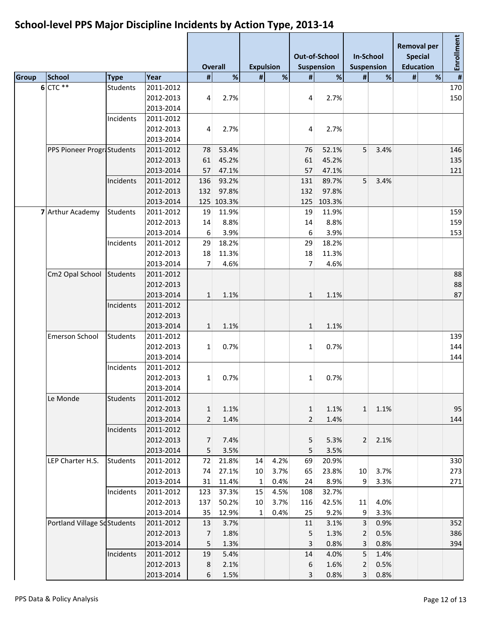|              |                             |                 |           |                | <b>Overall</b> | <b>Expulsion</b> |      |                | <b>Out-of-School</b><br>Suspension | <b>In-School</b><br><b>Suspension</b> |                 | <b>Removal per</b><br><b>Special</b><br><b>Education</b> |   | Enrollment |
|--------------|-----------------------------|-----------------|-----------|----------------|----------------|------------------|------|----------------|------------------------------------|---------------------------------------|-----------------|----------------------------------------------------------|---|------------|
| <b>Group</b> | <b>School</b>               | <b>Type</b>     | Year      | #              | %              | #                | %    | $\pmb{\sharp}$ | %                                  | #                                     | %               | #                                                        | % |            |
|              | 6 CTC **                    | <b>Students</b> | 2011-2012 |                |                |                  |      |                |                                    |                                       |                 |                                                          |   | 170        |
|              |                             |                 | 2012-2013 | 4              | 2.7%           |                  |      | 4              | 2.7%                               |                                       |                 |                                                          |   | 150        |
|              |                             |                 | 2013-2014 |                |                |                  |      |                |                                    |                                       |                 |                                                          |   |            |
|              |                             | Incidents       | 2011-2012 |                |                |                  |      |                |                                    |                                       |                 |                                                          |   |            |
|              |                             |                 | 2012-2013 | 4              | 2.7%           |                  |      | 4              | 2.7%                               |                                       |                 |                                                          |   |            |
|              |                             |                 | 2013-2014 |                |                |                  |      |                |                                    |                                       |                 |                                                          |   |            |
|              | PPS Pioneer ProgriStudents  |                 | 2011-2012 | 78             | 53.4%          |                  |      | 76             | 52.1%                              | 5                                     | 3.4%            |                                                          |   | 146        |
|              |                             |                 | 2012-2013 | 61             | 45.2%          |                  |      | 61             | 45.2%                              |                                       |                 |                                                          |   | 135        |
|              |                             |                 | 2013-2014 | 57             | 47.1%          |                  |      | 57             | 47.1%                              |                                       |                 |                                                          |   | 121        |
|              |                             | Incidents       | 2011-2012 | 136            | 93.2%          |                  |      | 131            | 89.7%                              | 5 <sup>1</sup>                        | 3.4%            |                                                          |   |            |
|              |                             |                 | 2012-2013 | 132            | 97.8%          |                  |      | 132            | 97.8%                              |                                       |                 |                                                          |   |            |
|              |                             |                 | 2013-2014 | 125            | 103.3%         |                  |      | 125            | 103.3%                             |                                       |                 |                                                          |   |            |
|              | 7 Arthur Academy            | <b>Students</b> | 2011-2012 | 19             | 11.9%          |                  |      | 19             | 11.9%                              |                                       |                 |                                                          |   | 159        |
|              |                             |                 | 2012-2013 | 14             | 8.8%           |                  |      | 14             | 8.8%                               |                                       |                 |                                                          |   | 159        |
|              |                             |                 | 2013-2014 | 6              | 3.9%           |                  |      | 6              | 3.9%                               |                                       |                 |                                                          |   | 153        |
|              |                             | Incidents       | 2011-2012 | 29             | 18.2%          |                  |      | 29             | 18.2%                              |                                       |                 |                                                          |   |            |
|              |                             |                 | 2012-2013 | 18             | 11.3%          |                  |      | 18             | 11.3%                              |                                       |                 |                                                          |   |            |
|              |                             |                 | 2013-2014 | $\overline{7}$ | 4.6%           |                  |      | 7              | 4.6%                               |                                       |                 |                                                          |   |            |
|              |                             |                 | 2011-2012 |                |                |                  |      |                |                                    |                                       |                 |                                                          |   |            |
|              | Cm2 Opal School Students    |                 | 2012-2013 |                |                |                  |      |                |                                    |                                       |                 |                                                          |   | 88         |
|              |                             |                 |           |                |                |                  |      |                |                                    |                                       |                 |                                                          |   | 88         |
|              |                             |                 | 2013-2014 | $\mathbf{1}$   | 1.1%           |                  |      | $\mathbf{1}$   | 1.1%                               |                                       |                 |                                                          |   | 87         |
|              |                             | Incidents       | 2011-2012 |                |                |                  |      |                |                                    |                                       |                 |                                                          |   |            |
|              |                             |                 | 2012-2013 |                |                |                  |      |                |                                    |                                       |                 |                                                          |   |            |
|              |                             |                 | 2013-2014 | $\mathbf{1}$   | 1.1%           |                  |      | $\mathbf{1}$   | 1.1%                               |                                       |                 |                                                          |   |            |
|              | Emerson School              | <b>Students</b> | 2011-2012 |                |                |                  |      |                |                                    |                                       |                 |                                                          |   | 139        |
|              |                             |                 | 2012-2013 | 1              | 0.7%           |                  |      | $\mathbf{1}$   | 0.7%                               |                                       |                 |                                                          |   | 144        |
|              |                             |                 | 2013-2014 |                |                |                  |      |                |                                    |                                       |                 |                                                          |   | 144        |
|              |                             | Incidents       | 2011-2012 |                |                |                  |      |                |                                    |                                       |                 |                                                          |   |            |
|              |                             |                 | 2012-2013 | $\mathbf{1}$   | 0.7%           |                  |      | $\mathbf{1}$   | 0.7%                               |                                       |                 |                                                          |   |            |
|              |                             |                 | 2013-2014 |                |                |                  |      |                |                                    |                                       |                 |                                                          |   |            |
|              | Le Monde                    | <b>Students</b> | 2011-2012 |                |                |                  |      |                |                                    |                                       |                 |                                                          |   |            |
|              |                             |                 | 2012-2013 | $\mathbf{1}$   | 1.1%           |                  |      | $\mathbf 1$    | 1.1%                               |                                       | $1 \quad 1.1\%$ |                                                          |   | 95         |
|              |                             |                 | 2013-2014 | $\overline{2}$ | 1.4%           |                  |      | $\overline{2}$ | 1.4%                               |                                       |                 |                                                          |   | 144        |
|              |                             | Incidents       | 2011-2012 |                |                |                  |      |                |                                    |                                       |                 |                                                          |   |            |
|              |                             |                 | 2012-2013 | $\overline{7}$ | 7.4%           |                  |      | 5              | 5.3%                               |                                       | $2 \quad 2.1\%$ |                                                          |   |            |
|              |                             |                 | 2013-2014 | 5              | 3.5%           |                  |      | 5              | 3.5%                               |                                       |                 |                                                          |   |            |
|              | LEP Charter H.S.            | <b>Students</b> | 2011-2012 | 72             | 21.8%          | 14               | 4.2% | 69             | 20.9%                              |                                       |                 |                                                          |   | 330        |
|              |                             |                 | 2012-2013 | 74             | 27.1%          | 10               | 3.7% | 65             | 23.8%                              | 10 <sup>°</sup>                       | 3.7%            |                                                          |   | 273        |
|              |                             |                 | 2013-2014 | 31             | 11.4%          | 1                | 0.4% | 24             | 8.9%                               | $\overline{9}$                        | 3.3%            |                                                          |   | 271        |
|              |                             | Incidents       | 2011-2012 | 123            | 37.3%          | 15               | 4.5% | 108            | 32.7%                              |                                       |                 |                                                          |   |            |
|              |                             |                 | 2012-2013 | 137            | 50.2%          | 10               | 3.7% | 116            | 42.5%                              | 11                                    | 4.0%            |                                                          |   |            |
|              |                             |                 | 2013-2014 | 35             | 12.9%          | 1                | 0.4% | 25             | 9.2%                               | 9                                     | 3.3%            |                                                          |   |            |
|              | Portland Village SdStudents |                 | 2011-2012 | 13             | 3.7%           |                  |      | 11             | 3.1%                               | 3                                     | 0.9%            |                                                          |   | 352        |
|              |                             |                 | 2012-2013 | $\overline{7}$ | 1.8%           |                  |      | 5              | 1.3%                               | $\overline{2}$                        | 0.5%            |                                                          |   | 386        |
|              |                             |                 | 2013-2014 | 5              | 1.3%           |                  |      | 3              | 0.8%                               | 3                                     | 0.8%            |                                                          |   | 394        |
|              |                             | Incidents       | 2011-2012 | 19             | 5.4%           |                  |      | 14             | 4.0%                               | 5                                     | 1.4%            |                                                          |   |            |
|              |                             |                 | 2012-2013 | $8\phantom{1}$ | 2.1%           |                  |      | 6              | 1.6%                               | $\overline{2}$                        | 0.5%            |                                                          |   |            |
|              |                             |                 | 2013-2014 | 6              | 1.5%           |                  |      | 3              | 0.8%                               | $\overline{\mathbf{3}}$               | 0.8%            |                                                          |   |            |